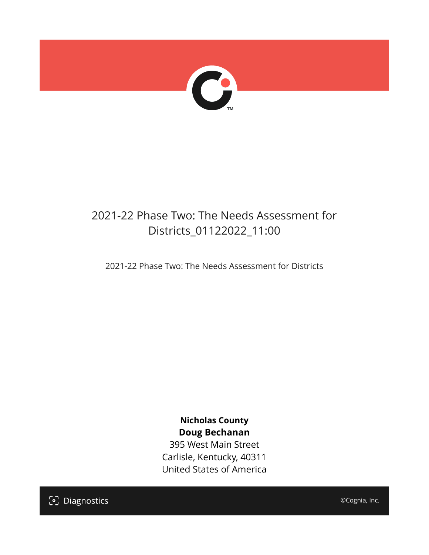

## 2021-22 Phase Two: The Needs Assessment for Districts\_01122022\_11:00

2021-22 Phase Two: The Needs Assessment for Districts

**Nicholas County Doug Bechanan**

395 West Main Street Carlisle, Kentucky, 40311 United States of America

[၁] Diagnostics

©Cognia, Inc.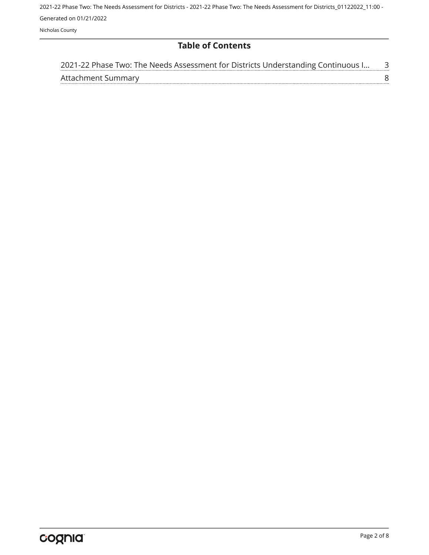**Table of Contents**

| 2021-22 Phase Two: The Needs Assessment for Districts Understanding Continuous I |  |
|----------------------------------------------------------------------------------|--|
| Attachment Summary                                                               |  |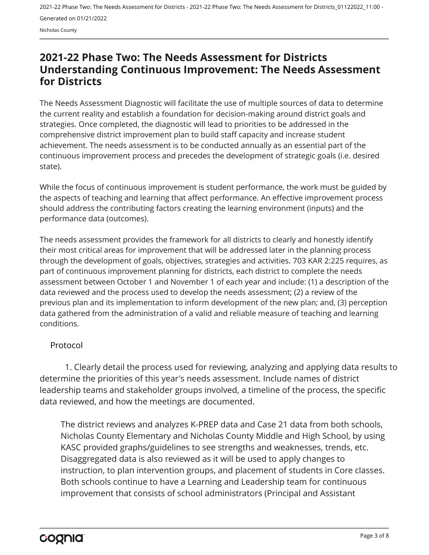Nicholas County

### <span id="page-2-0"></span>**2021-22 Phase Two: The Needs Assessment for Districts Understanding Continuous Improvement: The Needs Assessment for Districts**

The Needs Assessment Diagnostic will facilitate the use of multiple sources of data to determine the current reality and establish a foundation for decision-making around district goals and strategies. Once completed, the diagnostic will lead to priorities to be addressed in the comprehensive district improvement plan to build staff capacity and increase student achievement. The needs assessment is to be conducted annually as an essential part of the continuous improvement process and precedes the development of strategic goals (i.e. desired state).

While the focus of continuous improvement is student performance, the work must be guided by the aspects of teaching and learning that affect performance. An effective improvement process should address the contributing factors creating the learning environment (inputs) and the performance data (outcomes).

The needs assessment provides the framework for all districts to clearly and honestly identify their most critical areas for improvement that will be addressed later in the planning process through the development of goals, objectives, strategies and activities. 703 KAR 2:225 requires, as part of continuous improvement planning for districts, each district to complete the needs assessment between October 1 and November 1 of each year and include: (1) a description of the data reviewed and the process used to develop the needs assessment; (2) a review of the previous plan and its implementation to inform development of the new plan; and, (3) perception data gathered from the administration of a valid and reliable measure of teaching and learning conditions.

#### Protocol

1. Clearly detail the process used for reviewing, analyzing and applying data results to determine the priorities of this year's needs assessment. Include names of district leadership teams and stakeholder groups involved, a timeline of the process, the specific data reviewed, and how the meetings are documented.

The district reviews and analyzes K-PREP data and Case 21 data from both schools, Nicholas County Elementary and Nicholas County Middle and High School, by using KASC provided graphs/guidelines to see strengths and weaknesses, trends, etc. Disaggregated data is also reviewed as it will be used to apply changes to instruction, to plan intervention groups, and placement of students in Core classes. Both schools continue to have a Learning and Leadership team for continuous improvement that consists of school administrators (Principal and Assistant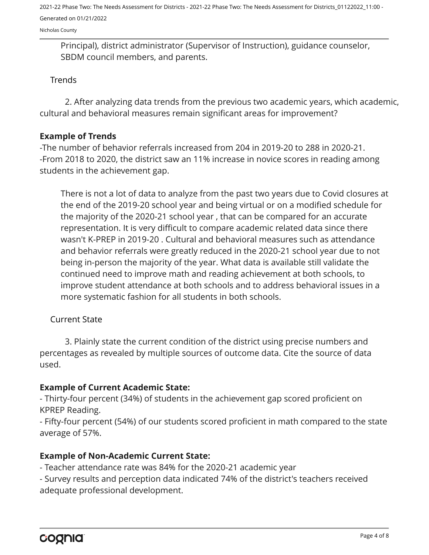Nicholas County

Principal), district administrator (Supervisor of Instruction), guidance counselor, SBDM council members, and parents.

#### **Trends**

2. After analyzing data trends from the previous two academic years, which academic, cultural and behavioral measures remain significant areas for improvement?

#### **Example of Trends**

-The number of behavior referrals increased from 204 in 2019-20 to 288 in 2020-21. -From 2018 to 2020, the district saw an 11% increase in novice scores in reading among students in the achievement gap.

There is not a lot of data to analyze from the past two years due to Covid closures at the end of the 2019-20 school year and being virtual or on a modified schedule for the majority of the 2020-21 school year , that can be compared for an accurate representation. It is very difficult to compare academic related data since there wasn't K-PREP in 2019-20 . Cultural and behavioral measures such as attendance and behavior referrals were greatly reduced in the 2020-21 school year due to not being in-person the majority of the year. What data is available still validate the continued need to improve math and reading achievement at both schools, to improve student attendance at both schools and to address behavioral issues in a more systematic fashion for all students in both schools.

#### Current State

3. Plainly state the current condition of the district using precise numbers and percentages as revealed by multiple sources of outcome data. Cite the source of data used.

#### **Example of Current Academic State:**

- Thirty-four percent (34%) of students in the achievement gap scored proficient on KPREP Reading.

- Fifty-four percent (54%) of our students scored proficient in math compared to the state average of 57%.

#### **Example of Non-Academic Current State:**

- Teacher attendance rate was 84% for the 2020-21 academic year

- Survey results and perception data indicated 74% of the district's teachers received adequate professional development.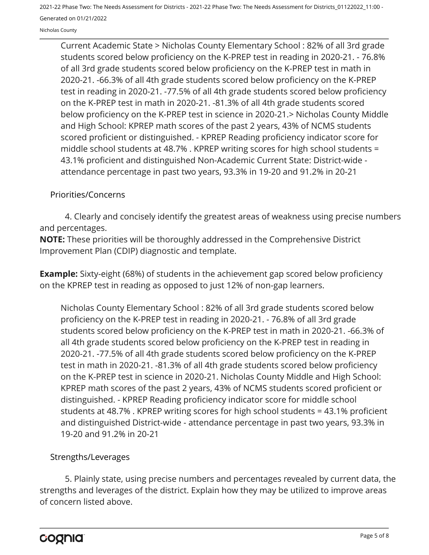Nicholas County

Current Academic State > Nicholas County Elementary School : 82% of all 3rd grade students scored below proficiency on the K-PREP test in reading in 2020-21. - 76.8% of all 3rd grade students scored below proficiency on the K-PREP test in math in 2020-21. -66.3% of all 4th grade students scored below proficiency on the K-PREP test in reading in 2020-21. -77.5% of all 4th grade students scored below proficiency on the K-PREP test in math in 2020-21. -81.3% of all 4th grade students scored below proficiency on the K-PREP test in science in 2020-21.> Nicholas County Middle and High School: KPREP math scores of the past 2 years, 43% of NCMS students scored proficient or distinguished. - KPREP Reading proficiency indicator score for middle school students at 48.7% . KPREP writing scores for high school students = 43.1% proficient and distinguished Non-Academic Current State: District-wide attendance percentage in past two years, 93.3% in 19-20 and 91.2% in 20-21

#### Priorities/Concerns

4. Clearly and concisely identify the greatest areas of weakness using precise numbers and percentages.

**NOTE:** These priorities will be thoroughly addressed in the Comprehensive District Improvement Plan (CDIP) diagnostic and template.

**Example:** Sixty-eight (68%) of students in the achievement gap scored below proficiency on the KPREP test in reading as opposed to just 12% of non-gap learners.

Nicholas County Elementary School : 82% of all 3rd grade students scored below proficiency on the K-PREP test in reading in 2020-21. - 76.8% of all 3rd grade students scored below proficiency on the K-PREP test in math in 2020-21. -66.3% of all 4th grade students scored below proficiency on the K-PREP test in reading in 2020-21. -77.5% of all 4th grade students scored below proficiency on the K-PREP test in math in 2020-21. -81.3% of all 4th grade students scored below proficiency on the K-PREP test in science in 2020-21. Nicholas County Middle and High School: KPREP math scores of the past 2 years, 43% of NCMS students scored proficient or distinguished. - KPREP Reading proficiency indicator score for middle school students at 48.7% . KPREP writing scores for high school students = 43.1% proficient and distinguished District-wide - attendance percentage in past two years, 93.3% in 19-20 and 91.2% in 20-21

#### Strengths/Leverages

5. Plainly state, using precise numbers and percentages revealed by current data, the strengths and leverages of the district. Explain how they may be utilized to improve areas of concern listed above.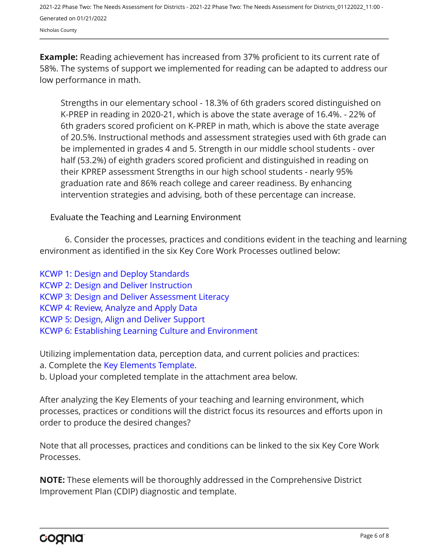**Example:** Reading achievement has increased from 37% proficient to its current rate of 58%. The systems of support we implemented for reading can be adapted to address our low performance in math.

Strengths in our elementary school - 18.3% of 6th graders scored distinguished on K-PREP in reading in 2020-21, which is above the state average of 16.4%. - 22% of 6th graders scored proficient on K-PREP in math, which is above the state average of 20.5%. Instructional methods and assessment strategies used with 6th grade can be implemented in grades 4 and 5. Strength in our middle school students - over half (53.2%) of eighth graders scored proficient and distinguished in reading on their KPREP assessment Strengths in our high school students - nearly 95% graduation rate and 86% reach college and career readiness. By enhancing intervention strategies and advising, both of these percentage can increase.

Evaluate the Teaching and Learning Environment

6. Consider the processes, practices and conditions evident in the teaching and learning environment as identified in the six Key Core Work Processes outlined below:

[KCWP 1: Design and Deploy Standards](https://education.ky.gov/school/csip/Documents/KCWP%201%20Strategic%20Design%20and%20Deploy%20Standards.pdf) [KCWP 2: Design and Deliver Instruction](https://education.ky.gov/school/csip/Documents/KCWP%202%20Strategic%20Design%20and%20Deliver%20Instruction.pdf) [KCWP 3: Design and Deliver Assessment Literacy](https://education.ky.gov/school/csip/Documents/KCWP%203%20Strategic%20Design%20and%20Deliver%20Assessment%20Literacy.pdf) [KCWP 4: Review, Analyze and Apply Data](https://education.ky.gov/school/csip/Documents/KCWP%204%20Strategic%20Review%20Analyze%20and%20Apply%20Data.pdf) [KCWP 5: Design, Align and Deliver Support](https://education.ky.gov/school/csip/Documents/KCWP%205%20Strategic%20Design%20Align%20Deliver%20Support%20Processes.pdf)

[KCWP 6: Establishing Learning Culture and Environment](https://education.ky.gov/school/csip/Documents/KCWP%206%20Strategic%20Establish%20Learning%20Culture%20and%20Environment.pdf)

Utilizing implementation data, perception data, and current policies and practices:

- a. Complete the [Key Elements Template.](https://education.ky.gov/school/csip/Documents/District%20Key%20Elements%20Template.docx)
- b. Upload your completed template in the attachment area below.

After analyzing the Key Elements of your teaching and learning environment, which processes, practices or conditions will the district focus its resources and efforts upon in order to produce the desired changes?

Note that all processes, practices and conditions can be linked to the six Key Core Work Processes.

**NOTE:** These elements will be thoroughly addressed in the Comprehensive District Improvement Plan (CDIP) diagnostic and template.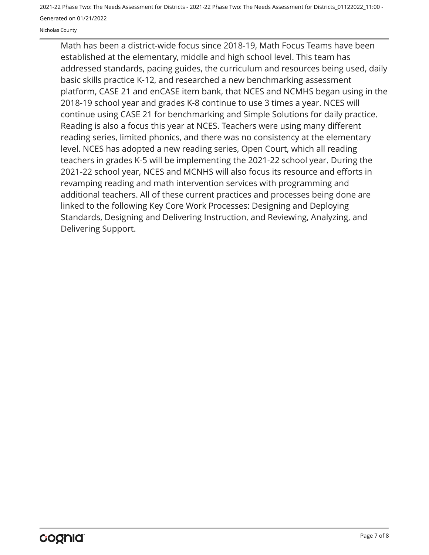Nicholas County

Math has been a district-wide focus since 2018-19, Math Focus Teams have been established at the elementary, middle and high school level. This team has addressed standards, pacing guides, the curriculum and resources being used, daily basic skills practice K-12, and researched a new benchmarking assessment platform, CASE 21 and enCASE item bank, that NCES and NCMHS began using in the 2018-19 school year and grades K-8 continue to use 3 times a year. NCES will continue using CASE 21 for benchmarking and Simple Solutions for daily practice. Reading is also a focus this year at NCES. Teachers were using many different reading series, limited phonics, and there was no consistency at the elementary level. NCES has adopted a new reading series, Open Court, which all reading teachers in grades K-5 will be implementing the 2021-22 school year. During the 2021-22 school year, NCES and MCNHS will also focus its resource and efforts in revamping reading and math intervention services with programming and additional teachers. All of these current practices and processes being done are linked to the following Key Core Work Processes: Designing and Deploying Standards, Designing and Delivering Instruction, and Reviewing, Analyzing, and Delivering Support.